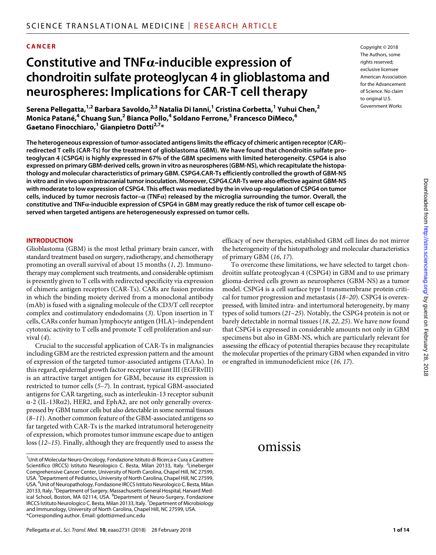### **CANCER**

# **Constitutive and TNF-inducible expression of chondroitin sulfate proteoglycan 4 in glioblastoma and neurospheres: Implications for CAR-T cell therapy**

**Serena Pellegatta,1,2 Barbara Savoldo,2,3 Natalia Di Ianni,1 Cristina Corbetta,1 Yuhui Chen,2** Monica Patané,<sup>4</sup> Chuang Sun,<sup>2</sup> Bianca Pollo,<sup>4</sup> Soldano Ferrone,<sup>5</sup> Francesco DiMeco,<sup>6</sup>  $\mathsf{Gaetano\,Finocchiaro,}\n^1\mathsf{Gianpietro\,Dotti<sup>2,7</sup>*}$ 

**The heterogeneous expression of tumor-associated antigens limits the efficacy of chimeric antigen receptor (CAR)– redirected T cells (CAR-Ts) for the treatment of glioblastoma (GBM). We have found that chondroitin sulfate proteoglycan 4 (CSPG4) is highly expressed in 67% of the GBM specimens with limited heterogeneity. CSPG4 is also expressed on primary GBM-derived cells, grown in vitro as neurospheres (GBM-NS), which recapitulate the histopathology and molecular characteristics of primary GBM. CSPG4.CAR-Ts efficiently controlled the growth of GBM-NS in vitro and in vivo upon intracranial tumor inoculation. Moreover, CSPG4.CAR-Ts were also effective against GBM-NS with moderate to low expression of CSPG4. This effect was mediated by the in vivo up-regulation of CSPG4 on tumor cells, induced by tumor necrosis factor– (TNF) released by the microglia surrounding the tumor. Overall, the constitutive and TNF-inducible expression of CSPG4 in GBM may greatly reduce the risk of tumor cell escape observed when targeted antigens are heterogeneously expressed on tumor cells.**

#### **INTRODUCTION**

Glioblastoma (GBM) is the most lethal primary brain cancer, with standard treatment based on surgery, radiotherapy, and chemotherapy promoting an overall survival of about 15 months (*1*, *2*). Immunotherapy may complement such treatments, and considerable optimism is presently given to T cells with redirected specificity via expression of chimeric antigen receptors (CAR-Ts). CARs are fusion proteins in which the binding moiety derived from a monoclonal antibody (mAb) is fused with a signaling molecule of the CD3/T cell receptor complex and costimulatory endodomains (*3*). Upon insertion in T cells, CARs confer human lymphocyte antigen (HLA)–independent cytotoxic activity to T cells and promote T cell proliferation and survival (*4*).

Crucial to the successful application of CAR-Ts in malignancies including GBM are the restricted expression pattern and the amount of expression of the targeted tumor-associated antigens (TAAs). In this regard, epidermal growth factor receptor variant III (EGFRvIII) is an attractive target antigen for GBM, because its expression is restricted to tumor cells (*5*–*7*). In contrast, typical GBM-associated antigens for CAR targeting, such as interleukin-13 receptor subunit  $\alpha$ -2 (IL-13R $\alpha$ 2), HER2, and EphA2, are not only generally overexpressed by GBM tumor cells but also detectable in some normal tissues (*8*–*11*). Another common feature of the GBM-associated antigens so far targeted with CAR-Ts is the marked intratumoral heterogeneity of expression, which promotes tumor immune escape due to antigen loss (*12*–*15*). Finally, although they are frequently used to assess the

Copyright © 2018 The Authors, some rights reserved: exclusive licensee American Association for the Advancement of Science. No claim to original U.S. Government Works

#### efficacy of new therapies, established GBM cell lines do not mirror the heterogeneity of the histopathology and molecular characteristics of primary GBM (*16*, *17*).

To overcome these limitations, we have selected to target chondroitin sulfate proteoglycan 4 (CSPG4) in GBM and to use primary glioma-derived cells grown as neurospheres (GBM-NS) as a tumor model. CSPG4 is a cell surface type I transmembrane protein critical for tumor progression and metastasis (*18*–*20*). CSPG4 is overexpressed, with limited intra- and intertumoral heterogeneity, by many types of solid tumors (*21*–*25*). Notably, the CSPG4 protein is not or barely detectable in normal tissues (*18*, *22*, *25*). We have now found that CSPG4 is expressed in considerable amounts not only in GBM specimens but also in GBM-NS, which are particularly relevant for assessing the efficacy of potential therapies because they recapitulate the molecular properties of the primary GBM when expanded in vitro or engrafted in immunodeficient mice (*16*, *17*).

## omissis

<sup>&</sup>lt;sup>1</sup> Unit of Molecular Neuro-Oncology, Fondazione Istituto di Ricerca e Cura a Carattere Scientifico (IRCCS) Istituto Neurologico C. Besta, Milan 20133, Italy. <sup>2</sup>Lineberger Comprehensive Cancer Center, University of North Carolina, Chapel Hill, NC 27599, USA.<sup>3</sup> Department of Pediatrics, University of North Carolina, Chapel Hill, NC 27599, USA. <sup>4</sup>Unit of Neuropathology, Fondazione IRCCS Istituto Neurologico C. Besta, Milan 20133, Italy. <sup>5</sup>Department of Surgery, Massachusetts General Hospital, Harvard Medical School, Boston, MA 02114, USA. <sup>6</sup>Department of Neuro-Surgery, Fondazione IRCCS Istituto Neurologico C. Besta, Milan 20133, Italy.<sup>7</sup> Department of Microbiology and Immunology, University of North Carolina, Chapel Hill, NC 27599, USA. \*Corresponding author. Email: gdotti@med.unc.edu